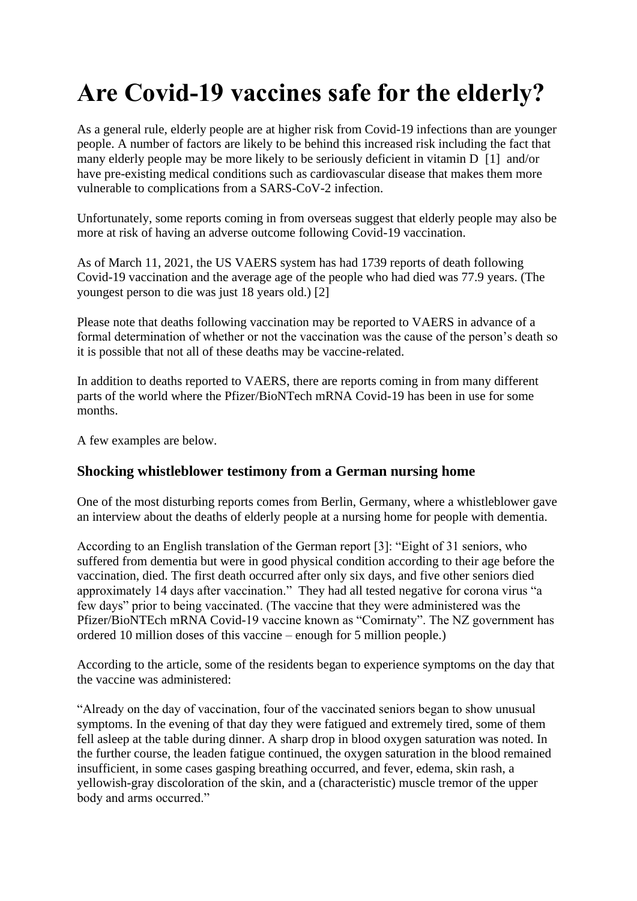# **Are Covid-19 vaccines safe for the elderly?**

As a general rule, elderly people are at higher risk from Covid-19 infections than are younger people. A number of factors are likely to be behind this increased risk including the fact that many elderly people may be more likely to be seriously deficient in vitamin D [1] and/or have pre-existing medical conditions such as cardiovascular disease that makes them more vulnerable to complications from a SARS-CoV-2 infection.

Unfortunately, some reports coming in from overseas suggest that elderly people may also be more at risk of having an adverse outcome following Covid-19 vaccination.

As of March 11, 2021, the US VAERS system has had 1739 reports of death following Covid-19 vaccination and the average age of the people who had died was 77.9 years. (The youngest person to die was just 18 years old.) [2]

Please note that deaths following vaccination may be reported to VAERS in advance of a formal determination of whether or not the vaccination was the cause of the person's death so it is possible that not all of these deaths may be vaccine-related.

In addition to deaths reported to VAERS, there are reports coming in from many different parts of the world where the Pfizer/BioNTech mRNA Covid-19 has been in use for some months.

A few examples are below.

### **Shocking whistleblower testimony from a German nursing home**

One of the most disturbing reports comes from Berlin, Germany, where a whistleblower gave an interview about the deaths of elderly people at a nursing home for people with dementia.

According to an English translation of the German report [3]: "Eight of 31 seniors, who suffered from dementia but were in good physical condition according to their age before the vaccination, died. The first death occurred after only six days, and five other seniors died approximately 14 days after vaccination." They had all tested negative for corona virus "a few days" prior to being vaccinated. (The vaccine that they were administered was the Pfizer/BioNTEch mRNA Covid-19 vaccine known as "Comirnaty". The NZ government has ordered 10 million doses of this vaccine – enough for 5 million people.)

According to the article, some of the residents began to experience symptoms on the day that the vaccine was administered:

"Already on the day of vaccination, four of the vaccinated seniors began to show unusual symptoms. In the evening of that day they were fatigued and extremely tired, some of them fell asleep at the table during dinner. A sharp drop in blood oxygen saturation was noted. In the further course, the leaden fatigue continued, the oxygen saturation in the blood remained insufficient, in some cases gasping breathing occurred, and fever, edema, skin rash, a yellowish-gray discoloration of the skin, and a (characteristic) muscle tremor of the upper body and arms occurred."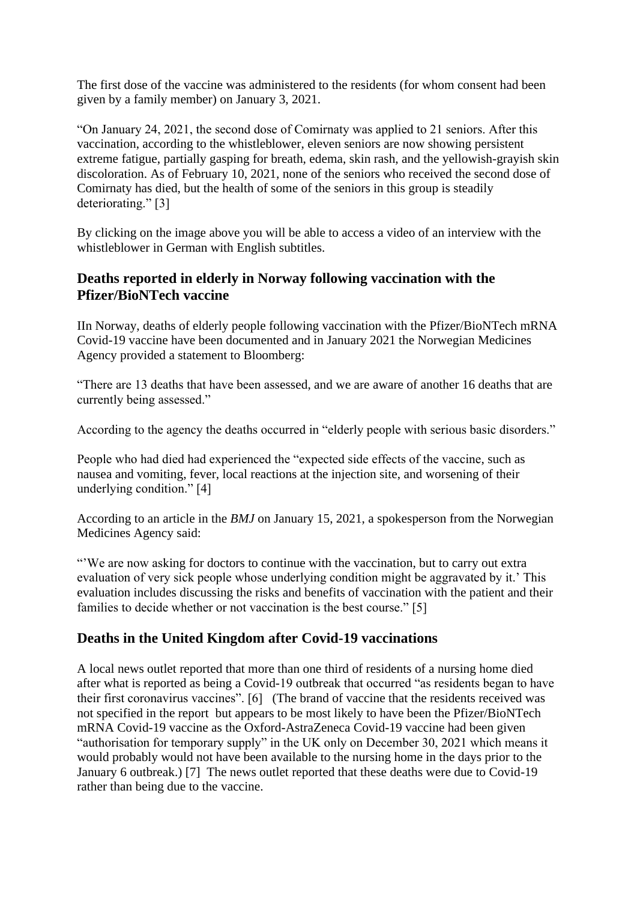The first dose of the vaccine was administered to the residents (for whom consent had been given by a family member) on January 3, 2021.

"On January 24, 2021, the second dose of Comirnaty was applied to 21 seniors. After this vaccination, according to the whistleblower, eleven seniors are now showing persistent extreme fatigue, partially gasping for breath, edema, skin rash, and the yellowish-grayish skin discoloration. As of February 10, 2021, none of the seniors who received the second dose of Comirnaty has died, but the health of some of the seniors in this group is steadily deteriorating." [3]

By clicking on the image above you will be able to access a video of an interview with the whistleblower in German with English subtitles.

## **Deaths reported in elderly in Norway following vaccination with the Pfizer/BioNTech vaccine**

IIn Norway, deaths of elderly people following vaccination with the Pfizer/BioNTech mRNA Covid-19 vaccine have been documented and in January 2021 the Norwegian Medicines Agency provided a statement to Bloomberg:

"There are 13 deaths that have been assessed, and we are aware of another 16 deaths that are currently being assessed."

According to the agency the deaths occurred in "elderly people with serious basic disorders."

People who had died had experienced the "expected side effects of the vaccine, such as nausea and vomiting, fever, local reactions at the injection site, and worsening of their underlying condition." [4]

According to an article in the *BMJ* on January 15, 2021, a spokesperson from the Norwegian Medicines Agency said:

"'We are now asking for doctors to continue with the vaccination, but to carry out extra evaluation of very sick people whose underlying condition might be aggravated by it.' This evaluation includes discussing the risks and benefits of vaccination with the patient and their families to decide whether or not vaccination is the best course." [5]

### **Deaths in the United Kingdom after Covid-19 vaccinations**

A local news outlet reported that more than one third of residents of a nursing home died after what is reported as being a Covid-19 outbreak that occurred "as residents began to have their first coronavirus vaccines". [6] (The brand of vaccine that the residents received was not specified in the report but appears to be most likely to have been the Pfizer/BioNTech mRNA Covid-19 vaccine as the Oxford-AstraZeneca Covid-19 vaccine had been given "authorisation for temporary supply" in the UK only on December 30, 2021 which means it would probably would not have been available to the nursing home in the days prior to the January 6 outbreak.) [7] The news outlet reported that these deaths were due to Covid-19 rather than being due to the vaccine.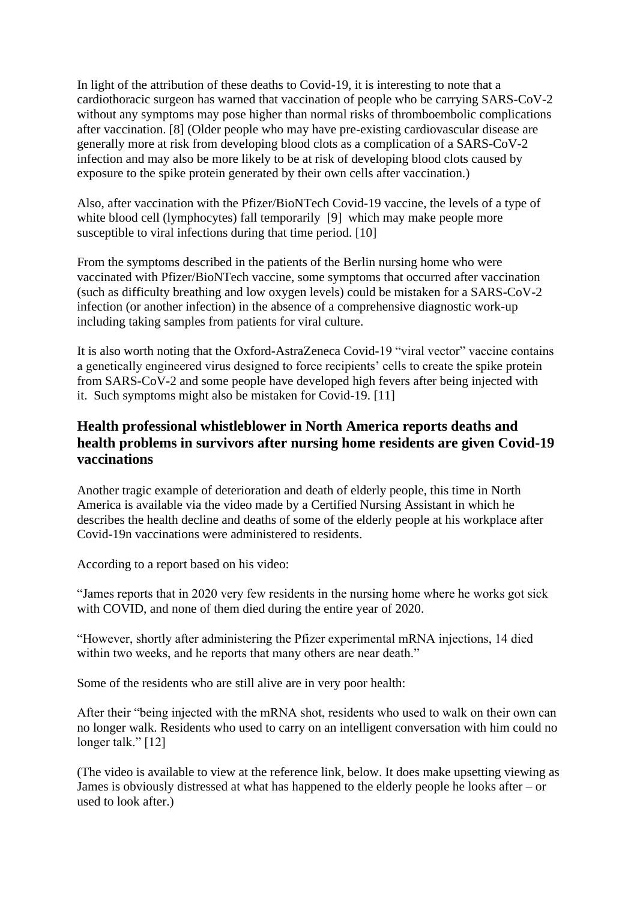In light of the attribution of these deaths to Covid-19, it is interesting to note that a cardiothoracic surgeon has warned that vaccination of people who be carrying SARS-CoV-2 without any symptoms may pose higher than normal risks of thromboembolic complications after vaccination. [8] (Older people who may have pre-existing cardiovascular disease are generally more at risk from developing blood clots as a complication of a SARS-CoV-2 infection and may also be more likely to be at risk of developing blood clots caused by exposure to the spike protein generated by their own cells after vaccination.)

Also, after vaccination with the Pfizer/BioNTech Covid-19 vaccine, the levels of a type of white blood cell (lymphocytes) fall temporarily [9] which may make people more susceptible to viral infections during that time period. [10]

From the symptoms described in the patients of the Berlin nursing home who were vaccinated with Pfizer/BioNTech vaccine, some symptoms that occurred after vaccination (such as difficulty breathing and low oxygen levels) could be mistaken for a SARS-CoV-2 infection (or another infection) in the absence of a comprehensive diagnostic work-up including taking samples from patients for viral culture.

It is also worth noting that the Oxford-AstraZeneca Covid-19 "viral vector" vaccine contains a genetically engineered virus designed to force recipients' cells to create the spike protein from SARS-CoV-2 and some people have developed high fevers after being injected with it. Such symptoms might also be mistaken for Covid-19. [11]

# **Health professional whistleblower in North America reports deaths and health problems in survivors after nursing home residents are given Covid-19 vaccinations**

Another tragic example of deterioration and death of elderly people, this time in North America is available via the video made by a Certified Nursing Assistant in which he describes the health decline and deaths of some of the elderly people at his workplace after Covid-19n vaccinations were administered to residents.

According to a report based on his video:

"James reports that in 2020 very few residents in the nursing home where he works got sick with COVID, and none of them died during the entire year of 2020.

"However, shortly after administering the Pfizer experimental mRNA injections, 14 died within two weeks, and he reports that many others are near death."

Some of the residents who are still alive are in very poor health:

After their "being injected with the mRNA shot, residents who used to walk on their own can no longer walk. Residents who used to carry on an intelligent conversation with him could no longer talk." [12]

(The video is available to view at the reference link, below. It does make upsetting viewing as James is obviously distressed at what has happened to the elderly people he looks after – or used to look after.)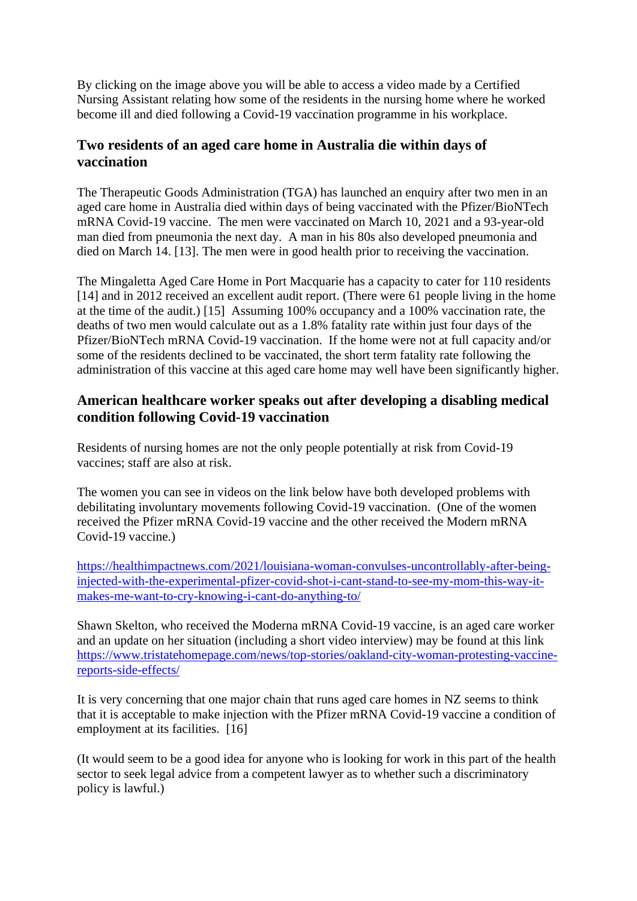By clicking on the image above you will be able to access a video made by a Certified Nursing Assistant relating how some of the residents in the nursing home where he worked become ill and died following a Covid-19 vaccination programme in his workplace.

## **Two residents of an aged care home in Australia die within days of vaccination**

The Therapeutic Goods Administration (TGA) has launched an enquiry after two men in an aged care home in Australia died within days of being vaccinated with the Pfizer/BioNTech mRNA Covid-19 vaccine. The men were vaccinated on March 10, 2021 and a 93-year-old man died from pneumonia the next day. A man in his 80s also developed pneumonia and died on March 14. [13]. The men were in good health prior to receiving the vaccination.

The Mingaletta Aged Care Home in Port Macquarie has a capacity to cater for 110 residents [14] and in 2012 received an excellent audit report. (There were 61 people living in the home at the time of the audit.) [15] Assuming 100% occupancy and a 100% vaccination rate, the deaths of two men would calculate out as a 1.8% fatality rate within just four days of the Pfizer/BioNTech mRNA Covid-19 vaccination. If the home were not at full capacity and/or some of the residents declined to be vaccinated, the short term fatality rate following the administration of this vaccine at this aged care home may well have been significantly higher.

## **American healthcare worker speaks out after developing a disabling medical condition following Covid-19 vaccination**

Residents of nursing homes are not the only people potentially at risk from Covid-19 vaccines; staff are also at risk.

The women you can see in videos on the link below have both developed problems with debilitating involuntary movements following Covid-19 vaccination. (One of the women received the Pfizer mRNA Covid-19 vaccine and the other received the Modern mRNA Covid-19 vaccine.)

[https://healthimpactnews.com/2021/louisiana-woman-convulses-uncontrollably-after-being](https://healthimpactnews.com/2021/louisiana-woman-convulses-uncontrollably-after-being-injected-with-the-experimental-pfizer-covid-shot-i-cant-stand-to-see-my-mom-this-way-it-makes-me-want-to-cry-knowing-i-cant-do-anything-to/)[injected-with-the-experimental-pfizer-covid-shot-i-cant-stand-to-see-my-mom-this-way-it](https://healthimpactnews.com/2021/louisiana-woman-convulses-uncontrollably-after-being-injected-with-the-experimental-pfizer-covid-shot-i-cant-stand-to-see-my-mom-this-way-it-makes-me-want-to-cry-knowing-i-cant-do-anything-to/)[makes-me-want-to-cry-knowing-i-cant-do-anything-to/](https://healthimpactnews.com/2021/louisiana-woman-convulses-uncontrollably-after-being-injected-with-the-experimental-pfizer-covid-shot-i-cant-stand-to-see-my-mom-this-way-it-makes-me-want-to-cry-knowing-i-cant-do-anything-to/)

Shawn Skelton, who received the Moderna mRNA Covid-19 vaccine, is an aged care worker and an update on her situation (including a short video interview) may be found at this link [https://www.tristatehomepage.com/news/top-stories/oakland-city-woman-protesting-vaccine](https://www.tristatehomepage.com/news/top-stories/oakland-city-woman-protesting-vaccine-reports-side-effects/)[reports-side-effects/](https://www.tristatehomepage.com/news/top-stories/oakland-city-woman-protesting-vaccine-reports-side-effects/)

It is very concerning that one major chain that runs aged care homes in NZ seems to think that it is acceptable to make injection with the Pfizer mRNA Covid-19 vaccine a condition of employment at its facilities. [16]

(It would seem to be a good idea for anyone who is looking for work in this part of the health sector to seek legal advice from a competent lawyer as to whether such a discriminatory policy is lawful.)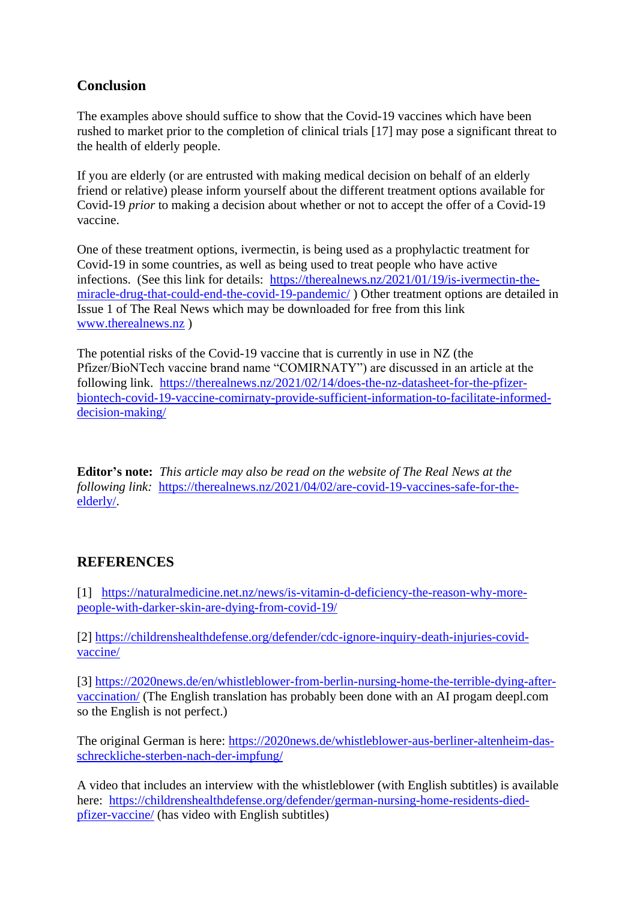# **Conclusion**

The examples above should suffice to show that the Covid-19 vaccines which have been rushed to market prior to the completion of clinical trials [17] may pose a significant threat to the health of elderly people.

If you are elderly (or are entrusted with making medical decision on behalf of an elderly friend or relative) please inform yourself about the different treatment options available for Covid-19 *prior* to making a decision about whether or not to accept the offer of a Covid-19 vaccine.

One of these treatment options, ivermectin, is being used as a prophylactic treatment for Covid-19 in some countries, as well as being used to treat people who have active infections. (See this link for details: [https://therealnews.nz/2021/01/19/is-ivermectin-the](https://therealnews.nz/2021/01/19/is-ivermectin-the-miracle-drug-that-could-end-the-covid-19-pandemic/)[miracle-drug-that-could-end-the-covid-19-pandemic/](https://therealnews.nz/2021/01/19/is-ivermectin-the-miracle-drug-that-could-end-the-covid-19-pandemic/) ) Other treatment options are detailed in Issue 1 of The Real News which may be downloaded for free from this link [www.therealnews.nz](http://www.therealnews.nz/) )

The potential risks of the Covid-19 vaccine that is currently in use in NZ (the Pfizer/BioNTech vaccine brand name "COMIRNATY") are discussed in an article at the following link. [https://therealnews.nz/2021/02/14/does-the-nz-datasheet-for-the-pfizer](https://therealnews.nz/2021/02/14/does-the-nz-datasheet-for-the-pfizer-biontech-covid-19-vaccine-comirnaty-provide-sufficient-information-to-facilitate-informed-decision-making/)[biontech-covid-19-vaccine-comirnaty-provide-sufficient-information-to-facilitate-informed](https://therealnews.nz/2021/02/14/does-the-nz-datasheet-for-the-pfizer-biontech-covid-19-vaccine-comirnaty-provide-sufficient-information-to-facilitate-informed-decision-making/)[decision-making/](https://therealnews.nz/2021/02/14/does-the-nz-datasheet-for-the-pfizer-biontech-covid-19-vaccine-comirnaty-provide-sufficient-information-to-facilitate-informed-decision-making/)

**Editor's note:** *This article may also be read on the website of The Real News at the following link:* [https://therealnews.nz/2021/04/02/are-covid-19-vaccines-safe-for-the](https://therealnews.nz/2021/04/02/are-covid-19-vaccines-safe-for-the-elderly/)[elderly/.](https://therealnews.nz/2021/04/02/are-covid-19-vaccines-safe-for-the-elderly/)

### **REFERENCES**

[1] [https://naturalmedicine.net.nz/news/is-vitamin-d-deficiency-the-reason-why-more](https://naturalmedicine.net.nz/news/is-vitamin-d-deficiency-the-reason-why-more-people-with-darker-skin-are-dying-from-covid-19/)[people-with-darker-skin-are-dying-from-covid-19/](https://naturalmedicine.net.nz/news/is-vitamin-d-deficiency-the-reason-why-more-people-with-darker-skin-are-dying-from-covid-19/)

[2] [https://childrenshealthdefense.org/defender/cdc-ignore-inquiry-death-injuries-covid](https://childrenshealthdefense.org/defender/cdc-ignore-inquiry-death-injuries-covid-vaccine/)[vaccine/](https://childrenshealthdefense.org/defender/cdc-ignore-inquiry-death-injuries-covid-vaccine/)

[3] [https://2020news.de/en/whistleblower-from-berlin-nursing-home-the-terrible-dying-after](https://2020news.de/en/whistleblower-from-berlin-nursing-home-the-terrible-dying-after-vaccination/)[vaccination/](https://2020news.de/en/whistleblower-from-berlin-nursing-home-the-terrible-dying-after-vaccination/) (The English translation has probably been done with an AI progam deepl.com so the English is not perfect.)

The original German is here: [https://2020news.de/whistleblower-aus-berliner-altenheim-das](https://2020news.de/whistleblower-aus-berliner-altenheim-das-schreckliche-sterben-nach-der-impfung/)[schreckliche-sterben-nach-der-impfung/](https://2020news.de/whistleblower-aus-berliner-altenheim-das-schreckliche-sterben-nach-der-impfung/)

A video that includes an interview with the whistleblower (with English subtitles) is available here: [https://childrenshealthdefense.org/defender/german-nursing-home-residents-died](https://childrenshealthdefense.org/defender/german-nursing-home-residents-died-pfizer-vaccine/)[pfizer-vaccine/](https://childrenshealthdefense.org/defender/german-nursing-home-residents-died-pfizer-vaccine/) (has video with English subtitles)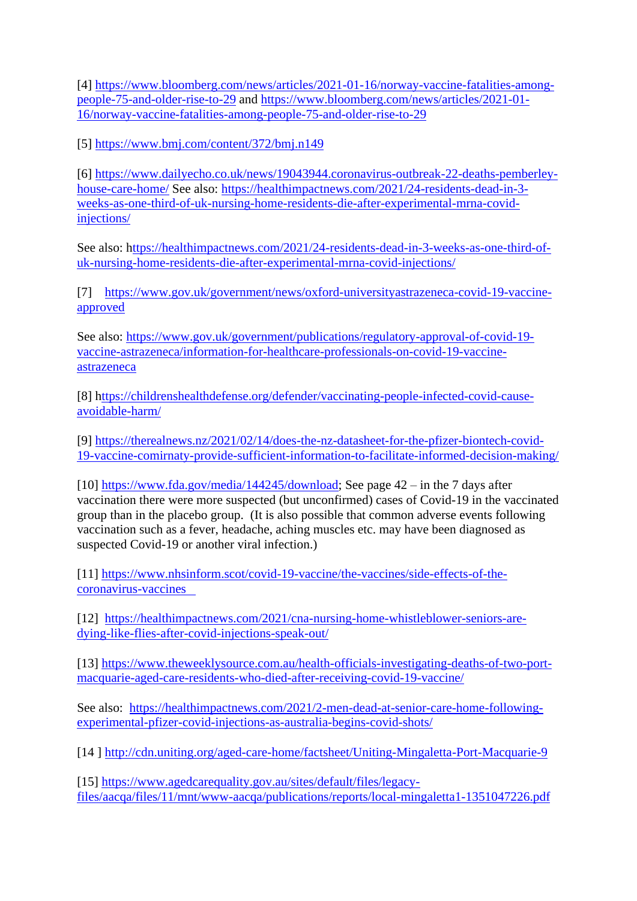[4] [https://www.bloomberg.com/news/articles/2021-01-16/norway-vaccine-fatalities-among](https://www.bloomberg.com/news/articles/2021-01-16/norway-vaccine-fatalities-among-people-75-and-older-rise-to-29)[people-75-and-older-rise-to-29](https://www.bloomberg.com/news/articles/2021-01-16/norway-vaccine-fatalities-among-people-75-and-older-rise-to-29) and [https://www.bloomberg.com/news/articles/2021-01-](https://www.bloomberg.com/news/articles/2021-01-16/norway-vaccine-fatalities-among-people-75-and-older-rise-to-29) [16/norway-vaccine-fatalities-among-people-75-and-older-rise-to-29](https://www.bloomberg.com/news/articles/2021-01-16/norway-vaccine-fatalities-among-people-75-and-older-rise-to-29)

[5]<https://www.bmj.com/content/372/bmj.n149>

[6] [https://www.dailyecho.co.uk/news/19043944.coronavirus-outbreak-22-deaths-pemberley](https://www.dailyecho.co.uk/news/19043944.coronavirus-outbreak-22-deaths-pemberley-house-care-home/)[house-care-home/](https://www.dailyecho.co.uk/news/19043944.coronavirus-outbreak-22-deaths-pemberley-house-care-home/) See also: [https://healthimpactnews.com/2021/24-residents-dead-in-3](https://healthimpactnews.com/2021/24-residents-dead-in-3-weeks-as-one-third-of-uk-nursing-home-residents-die-after-experimental-mrna-covid-injections/) [weeks-as-one-third-of-uk-nursing-home-residents-die-after-experimental-mrna-covid](https://healthimpactnews.com/2021/24-residents-dead-in-3-weeks-as-one-third-of-uk-nursing-home-residents-die-after-experimental-mrna-covid-injections/)[injections/](https://healthimpactnews.com/2021/24-residents-dead-in-3-weeks-as-one-third-of-uk-nursing-home-residents-die-after-experimental-mrna-covid-injections/)

See also: [https://healthimpactnews.com/2021/24-residents-dead-in-3-weeks-as-one-third-of](https://healthimpactnews.com/2021/24-residents-dead-in-3-weeks-as-one-third-of-uk-nursing-home-residents-die-after-experimental-mrna-covid-injections/)[uk-nursing-home-residents-die-after-experimental-mrna-covid-injections/](https://healthimpactnews.com/2021/24-residents-dead-in-3-weeks-as-one-third-of-uk-nursing-home-residents-die-after-experimental-mrna-covid-injections/)

[7] [https://www.gov.uk/government/news/oxford-universityastrazeneca-covid-19-vaccine](https://www.gov.uk/government/news/oxford-universityastrazeneca-covid-19-vaccine-approved)[approved](https://www.gov.uk/government/news/oxford-universityastrazeneca-covid-19-vaccine-approved)

See also: [https://www.gov.uk/government/publications/regulatory-approval-of-covid-19](https://www.gov.uk/government/publications/regulatory-approval-of-covid-19-vaccine-astrazeneca/information-for-healthcare-professionals-on-covid-19-vaccine-astrazeneca) [vaccine-astrazeneca/information-for-healthcare-professionals-on-covid-19-vaccine](https://www.gov.uk/government/publications/regulatory-approval-of-covid-19-vaccine-astrazeneca/information-for-healthcare-professionals-on-covid-19-vaccine-astrazeneca)[astrazeneca](https://www.gov.uk/government/publications/regulatory-approval-of-covid-19-vaccine-astrazeneca/information-for-healthcare-professionals-on-covid-19-vaccine-astrazeneca)

[8] [https://childrenshealthdefense.org/defender/vaccinating-people-infected-covid-cause](ttps://childrenshealthdefense.org/defender/vaccinating-people-infected-covid-cause-avoidable-harm/)[avoidable-harm/](ttps://childrenshealthdefense.org/defender/vaccinating-people-infected-covid-cause-avoidable-harm/)

[9] [https://therealnews.nz/2021/02/14/does-the-nz-datasheet-for-the-pfizer-biontech-covid-](https://therealnews.nz/2021/02/14/does-the-nz-datasheet-for-the-pfizer-biontech-covid-19-vaccine-comirnaty-provide-sufficient-information-to-facilitate-informed-decision-making/)[19-vaccine-comirnaty-provide-sufficient-information-to-facilitate-informed-decision-making/](https://therealnews.nz/2021/02/14/does-the-nz-datasheet-for-the-pfizer-biontech-covid-19-vaccine-comirnaty-provide-sufficient-information-to-facilitate-informed-decision-making/)

[10] [https://www.fda.gov/media/144245/download;](https://www.fda.gov/media/144245/download) See page 42 – in the 7 days after vaccination there were more suspected (but unconfirmed) cases of Covid-19 in the vaccinated group than in the placebo group. (It is also possible that common adverse events following vaccination such as a fever, headache, aching muscles etc. may have been diagnosed as suspected Covid-19 or another viral infection.)

[11] [https://www.nhsinform.scot/covid-19-vaccine/the-vaccines/side-effects-of-the](https://www.nhsinform.scot/covid-19-vaccine/the-vaccines/side-effects-of-the-coronavirus-vaccines   )[coronavirus-vaccines](https://www.nhsinform.scot/covid-19-vaccine/the-vaccines/side-effects-of-the-coronavirus-vaccines   ) 

[12] [https://healthimpactnews.com/2021/cna-nursing-home-whistleblower-seniors-are](https://healthimpactnews.com/2021/cna-nursing-home-whistleblower-seniors-are-dying-like-flies-after-covid-injections-speak-out/)[dying-like-flies-after-covid-injections-speak-out/](https://healthimpactnews.com/2021/cna-nursing-home-whistleblower-seniors-are-dying-like-flies-after-covid-injections-speak-out/)

[13] [https://www.theweeklysource.com.au/health-officials-investigating-deaths-of-two-port](https://www.theweeklysource.com.au/health-officials-investigating-deaths-of-two-port-macquarie-aged-care-residents-who-died-after-receiving-covid-19-vaccine/)[macquarie-aged-care-residents-who-died-after-receiving-covid-19-vaccine/](https://www.theweeklysource.com.au/health-officials-investigating-deaths-of-two-port-macquarie-aged-care-residents-who-died-after-receiving-covid-19-vaccine/)

See also: [https://healthimpactnews.com/2021/2-men-dead-at-senior-care-home-following](https://healthimpactnews.com/2021/2-men-dead-at-senior-care-home-following-experimental-pfizer-covid-injections-as-australia-begins-covid-shots/)[experimental-pfizer-covid-injections-as-australia-begins-covid-shots/](https://healthimpactnews.com/2021/2-men-dead-at-senior-care-home-following-experimental-pfizer-covid-injections-as-australia-begins-covid-shots/)

[14 ]<http://cdn.uniting.org/aged-care-home/factsheet/Uniting-Mingaletta-Port-Macquarie-9>

[15] [https://www.agedcarequality.gov.au/sites/default/files/legacy](https://www.agedcarequality.gov.au/sites/default/files/legacy-files/aacqa/files/11/mnt/www-aacqa/publications/reports/local-mingaletta1-1351047226.pdf)[files/aacqa/files/11/mnt/www-aacqa/publications/reports/local-mingaletta1-1351047226.pdf](https://www.agedcarequality.gov.au/sites/default/files/legacy-files/aacqa/files/11/mnt/www-aacqa/publications/reports/local-mingaletta1-1351047226.pdf)